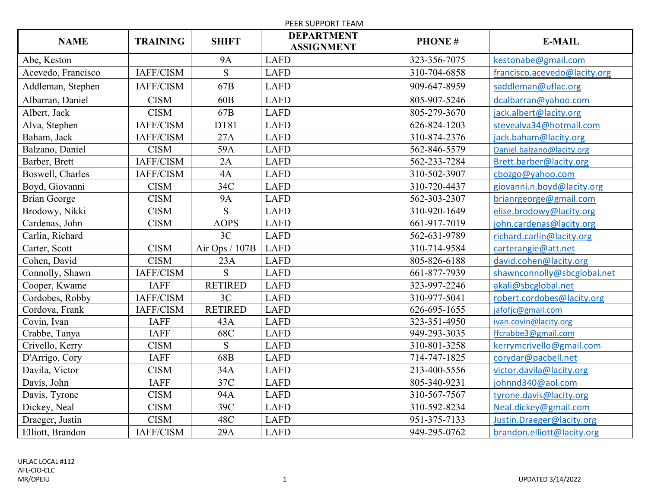| PEER SUPPORT TEAM   |                 |                 |                                        |               |                              |
|---------------------|-----------------|-----------------|----------------------------------------|---------------|------------------------------|
| <b>NAME</b>         | <b>TRAINING</b> | <b>SHIFT</b>    | <b>DEPARTMENT</b><br><b>ASSIGNMENT</b> | <b>PHONE#</b> | <b>E-MAIL</b>                |
| Abe, Keston         |                 | <b>9A</b>       | <b>LAFD</b>                            | 323-356-7075  | kestonabe@gmail.com          |
| Acevedo, Francisco  | IAFF/CISM       | S               | <b>LAFD</b>                            | 310-704-6858  | francisco.acevedo@lacity.org |
| Addleman, Stephen   | IAFF/CISM       | 67B             | <b>LAFD</b>                            | 909-647-8959  | saddleman@uflac.org          |
| Albarran, Daniel    | <b>CISM</b>     | 60 <sub>B</sub> | <b>LAFD</b>                            | 805-907-5246  | dcalbarran@yahoo.com         |
| Albert, Jack        | <b>CISM</b>     | 67B             | <b>LAFD</b>                            | 805-279-3670  | jack.albert@lacity.org       |
| Alva, Stephen       | IAFF/CISM       | DT81            | <b>LAFD</b>                            | 626-824-1203  | stevealva34@hotmail.com      |
| Baham, Jack         | IAFF/CISM       | 27A             | <b>LAFD</b>                            | 310-874-2376  | jack.baham@lacity.org        |
| Balzano, Daniel     | <b>CISM</b>     | 59A             | <b>LAFD</b>                            | 562-846-5579  | Daniel.balzano@lacity.org    |
| Barber, Brett       | IAFF/CISM       | 2A              | <b>LAFD</b>                            | 562-233-7284  | Brett.barber@lacity.org      |
| Boswell, Charles    | IAFF/CISM       | 4A              | <b>LAFD</b>                            | 310-502-3907  | cbozgo@yahoo.com             |
| Boyd, Giovanni      | <b>CISM</b>     | 34C             | <b>LAFD</b>                            | 310-720-4437  | giovanni.n.boyd@lacity.org   |
| <b>Brian George</b> | <b>CISM</b>     | <b>9A</b>       | <b>LAFD</b>                            | 562-303-2307  | brianrgeorge@gmail.com       |
| Brodowy, Nikki      | <b>CISM</b>     | S               | <b>LAFD</b>                            | 310-920-1649  | elise.brodowy@lacity.org     |
| Cardenas, John      | <b>CISM</b>     | <b>AOPS</b>     | <b>LAFD</b>                            | 661-917-7019  | john.cardenas@lacity.org     |
| Carlin, Richard     |                 | 3C              | <b>LAFD</b>                            | 562-631-9789  | richard.carlin@lacity.org    |
| Carter, Scott       | <b>CISM</b>     | Air Ops / 107B  | <b>LAFD</b>                            | 310-714-9584  | carterangie@att.net          |
| Cohen, David        | <b>CISM</b>     | 23A             | <b>LAFD</b>                            | 805-826-6188  | david.cohen@lacity.org       |
| Connolly, Shawn     | IAFF/CISM       | <sub>S</sub>    | <b>LAFD</b>                            | 661-877-7939  | shawnconnolly@sbcglobal.net  |
| Cooper, Kwame       | <b>IAFF</b>     | <b>RETIRED</b>  | <b>LAFD</b>                            | 323-997-2246  | akali@sbcglobal.net          |
| Cordobes, Robby     | IAFF/CISM       | 3C              | <b>LAFD</b>                            | 310-977-5041  | robert.cordobes@lacity.org   |
| Cordova, Frank      | IAFF/CISM       | <b>RETIRED</b>  | <b>LAFD</b>                            | 626-695-1655  | jafofjc@gmail.com            |
| Covin, Ivan         | <b>IAFF</b>     | 43A             | <b>LAFD</b>                            | 323-351-4950  | ivan.covin@lacity.org        |
| Crabbe, Tanya       | <b>IAFF</b>     | 68C             | <b>LAFD</b>                            | 949-293-3035  | ffcrabbe3@gmail.com          |
| Crivello, Kerry     | <b>CISM</b>     | S               | <b>LAFD</b>                            | 310-801-3258  | kerrymcrivello@gmail.com     |
| D'Arrigo, Cory      | <b>IAFF</b>     | 68B             | <b>LAFD</b>                            | 714-747-1825  | corydar@pacbell.net          |
| Davila, Victor      | <b>CISM</b>     | 34A             | <b>LAFD</b>                            | 213-400-5556  | victor.davila@lacity.org     |
| Davis, John         | <b>IAFF</b>     | 37C             | <b>LAFD</b>                            | 805-340-9231  | johnnd340@aol.com            |
| Davis, Tyrone       | <b>CISM</b>     | 94A             | <b>LAFD</b>                            | 310-567-7567  | tyrone.davis@lacity.org      |
| Dickey, Neal        | <b>CISM</b>     | 39C             | <b>LAFD</b>                            | 310-592-8234  | Neal.dickey@gmail.com        |
| Draeger, Justin     | <b>CISM</b>     | 48C             | <b>LAFD</b>                            | 951-375-7133  | Justin.Draeger@lacity.org    |
| Elliott, Brandon    | IAFF/CISM       | 29A             | <b>LAFD</b>                            | 949-295-0762  | brandon.elliott@lacity.org   |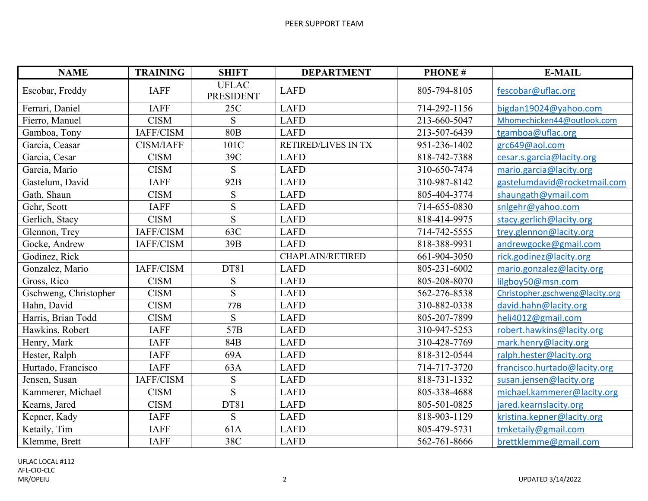| <b>NAME</b>           | <b>TRAINING</b>  | <b>SHIFT</b>                     | <b>DEPARTMENT</b>       | <b>PHONE#</b> | <b>E-MAIL</b>                   |
|-----------------------|------------------|----------------------------------|-------------------------|---------------|---------------------------------|
| Escobar, Freddy       | <b>IAFF</b>      | <b>UFLAC</b><br><b>PRESIDENT</b> | <b>LAFD</b>             | 805-794-8105  | fescobar@uflac.org              |
| Ferrari, Daniel       | <b>IAFF</b>      | 25C                              | <b>LAFD</b>             | 714-292-1156  | bigdan19024@yahoo.com           |
| Fierro, Manuel        | <b>CISM</b>      | S                                | <b>LAFD</b>             | 213-660-5047  | Mhomechicken44@outlook.com      |
| Gamboa, Tony          | IAFF/CISM        | 80 <sub>B</sub>                  | <b>LAFD</b>             | 213-507-6439  | tgamboa@uflac.org               |
| Garcia, Ceasar        | <b>CISM/IAFF</b> | 101C                             | RETIRED/LIVES IN TX     | 951-236-1402  | grc649@aol.com                  |
| Garcia, Cesar         | <b>CISM</b>      | 39C                              | <b>LAFD</b>             | 818-742-7388  | cesar.s.garcia@lacity.org       |
| Garcia, Mario         | <b>CISM</b>      | S                                | <b>LAFD</b>             | 310-650-7474  | mario.garcia@lacity.org         |
| Gastelum, David       | <b>IAFF</b>      | 92B                              | <b>LAFD</b>             | 310-987-8142  | gastelumdavid@rocketmail.com    |
| Gath, Shaun           | <b>CISM</b>      | S                                | <b>LAFD</b>             | 805-404-3774  | shaungath@ymail.com             |
| Gehr, Scott           | <b>IAFF</b>      | ${\bf S}$                        | <b>LAFD</b>             | 714-655-0830  | snlgehr@yahoo.com               |
| Gerlich, Stacy        | <b>CISM</b>      | S                                | <b>LAFD</b>             | 818-414-9975  | stacy.gerlich@lacity.org        |
| Glennon, Trey         | IAFF/CISM        | 63C                              | <b>LAFD</b>             | 714-742-5555  | trey.glennon@lacity.org         |
| Gocke, Andrew         | IAFF/CISM        | 39B                              | <b>LAFD</b>             | 818-388-9931  | andrewgocke@gmail.com           |
| Godinez, Rick         |                  |                                  | <b>CHAPLAIN/RETIRED</b> | 661-904-3050  | rick.godinez@lacity.org         |
| Gonzalez, Mario       | IAFF/CISM        | DT81                             | <b>LAFD</b>             | 805-231-6002  | mario.gonzalez@lacity.org       |
| Gross, Rico           | <b>CISM</b>      | ${\bf S}$                        | <b>LAFD</b>             | 805-208-8070  | lilgboy50@msn.com               |
| Gschweng, Christopher | <b>CISM</b>      | S                                | <b>LAFD</b>             | 562-276-8538  | Christopher.gschweng@lacity.org |
| Hahn, David           | <b>CISM</b>      | 77B                              | <b>LAFD</b>             | 310-882-0338  | david.hahn@lacity.org           |
| Harris, Brian Todd    | <b>CISM</b>      | S                                | <b>LAFD</b>             | 805-207-7899  | heli4012@gmail.com              |
| Hawkins, Robert       | <b>IAFF</b>      | 57B                              | <b>LAFD</b>             | 310-947-5253  | robert.hawkins@lacity.org       |
| Henry, Mark           | <b>IAFF</b>      | 84B                              | <b>LAFD</b>             | 310-428-7769  | mark.henry@lacity.org           |
| Hester, Ralph         | <b>IAFF</b>      | 69A                              | <b>LAFD</b>             | 818-312-0544  | ralph.hester@lacity.org         |
| Hurtado, Francisco    | <b>IAFF</b>      | 63A                              | <b>LAFD</b>             | 714-717-3720  | francisco.hurtado@lacity.org    |
| Jensen, Susan         | IAFF/CISM        | S                                | <b>LAFD</b>             | 818-731-1332  | susan.jensen@lacity.org         |
| Kammerer, Michael     | <b>CISM</b>      | S                                | <b>LAFD</b>             | 805-338-4688  | michael.kammerer@lacity.org     |
| Kearns, Jared         | <b>CISM</b>      | DT81                             | <b>LAFD</b>             | 805-501-0825  | jared.kearnslacity.org          |
| Kepner, Kady          | <b>IAFF</b>      | S                                | <b>LAFD</b>             | 818-903-1129  | kristina.kepner@lacity.org      |
| Ketaily, Tim          | <b>IAFF</b>      | 61A                              | <b>LAFD</b>             | 805-479-5731  | tmketaily@gmail.com             |
| Klemme, Brett         | <b>IAFF</b>      | 38C                              | <b>LAFD</b>             | 562-761-8666  | brettklemme@gmail.com           |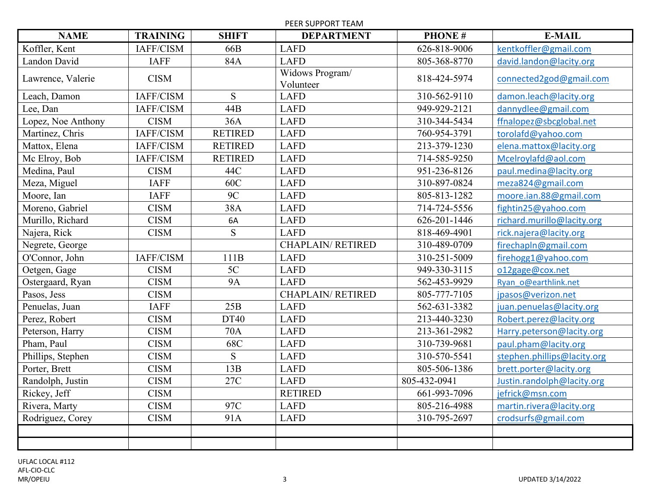PEER SUPPORT TEAM

| <b>NAME</b>        | <b>TRAINING</b> | <b>SHIFT</b>   | <b>DEPARTMENT</b>            | <b>PHONE#</b> | <b>E-MAIL</b>               |
|--------------------|-----------------|----------------|------------------------------|---------------|-----------------------------|
| Koffler, Kent      | IAFF/CISM       | 66B            | <b>LAFD</b>                  | 626-818-9006  | kentkoffler@gmail.com       |
| Landon David       | <b>IAFF</b>     | 84A            | <b>LAFD</b>                  | 805-368-8770  | david.landon@lacity.org     |
| Lawrence, Valerie  | <b>CISM</b>     |                | Widows Program/<br>Volunteer | 818-424-5974  | connected2god@gmail.com     |
| Leach, Damon       | IAFF/CISM       | S              | <b>LAFD</b>                  | 310-562-9110  | damon.leach@lacity.org      |
| Lee, Dan           | IAFF/CISM       | 44B            | <b>LAFD</b>                  | 949-929-2121  | dannydlee@gmail.com         |
| Lopez, Noe Anthony | <b>CISM</b>     | 36A            | <b>LAFD</b>                  | 310-344-5434  | ffnalopez@sbcglobal.net     |
| Martinez, Chris    | IAFF/CISM       | <b>RETIRED</b> | <b>LAFD</b>                  | 760-954-3791  | torolafd@yahoo.com          |
| Mattox, Elena      | IAFF/CISM       | <b>RETIRED</b> | <b>LAFD</b>                  | 213-379-1230  | elena.mattox@lacity.org     |
| Mc Elroy, Bob      | IAFF/CISM       | <b>RETIRED</b> | <b>LAFD</b>                  | 714-585-9250  | Mcelroylafd@aol.com         |
| Medina, Paul       | <b>CISM</b>     | 44C            | <b>LAFD</b>                  | 951-236-8126  | paul.medina@lacity.org      |
| Meza, Miguel       | <b>IAFF</b>     | 60C            | <b>LAFD</b>                  | 310-897-0824  | meza824@gmail.com           |
| Moore, Ian         | <b>IAFF</b>     | 9C             | <b>LAFD</b>                  | 805-813-1282  | moore.ian.88@gmail.com      |
| Moreno, Gabriel    | <b>CISM</b>     | 38A            | <b>LAFD</b>                  | 714-724-5556  | fightin25@yahoo.com         |
| Murillo, Richard   | <b>CISM</b>     | 6A             | <b>LAFD</b>                  | 626-201-1446  | richard.murillo@lacity.org  |
| Najera, Rick       | <b>CISM</b>     | S              | <b>LAFD</b>                  | 818-469-4901  | rick.najera@lacity.org      |
| Negrete, George    |                 |                | <b>CHAPLAIN/RETIRED</b>      | 310-489-0709  | firechapln@gmail.com        |
| O'Connor, John     | IAFF/CISM       | 111B           | <b>LAFD</b>                  | 310-251-5009  | firehogg1@yahoo.com         |
| Oetgen, Gage       | <b>CISM</b>     | 5C             | <b>LAFD</b>                  | 949-330-3115  | o12gage@cox.net             |
| Ostergaard, Ryan   | <b>CISM</b>     | <b>9A</b>      | <b>LAFD</b>                  | 562-453-9929  | Ryan o@earthlink.net        |
| Pasos, Jess        | <b>CISM</b>     |                | <b>CHAPLAIN/RETIRED</b>      | 805-777-7105  | jpasos@verizon.net          |
| Penuelas, Juan     | <b>IAFF</b>     | 25B            | <b>LAFD</b>                  | 562-631-3382  | juan.penuelas@lacity.org    |
| Perez, Robert      | <b>CISM</b>     | <b>DT40</b>    | <b>LAFD</b>                  | 213-440-3230  | Robert.perez@lacity.org     |
| Peterson, Harry    | <b>CISM</b>     | 70A            | <b>LAFD</b>                  | 213-361-2982  | Harry.peterson@lacity.org   |
| Pham, Paul         | <b>CISM</b>     | 68C            | <b>LAFD</b>                  | 310-739-9681  | paul.pham@lacity.org        |
| Phillips, Stephen  | <b>CISM</b>     | S              | <b>LAFD</b>                  | 310-570-5541  | stephen.phillips@lacity.org |
| Porter, Brett      | <b>CISM</b>     | 13B            | <b>LAFD</b>                  | 805-506-1386  | brett.porter@lacity.org     |
| Randolph, Justin   | <b>CISM</b>     | 27C            | <b>LAFD</b>                  | 805-432-0941  | Justin.randolph@lacity.org  |
| Rickey, Jeff       | <b>CISM</b>     |                | <b>RETIRED</b>               | 661-993-7096  | jefrick@msn.com             |
| Rivera, Marty      | <b>CISM</b>     | 97C            | <b>LAFD</b>                  | 805-216-4988  | martin.rivera@lacity.org    |
| Rodriguez, Corey   | <b>CISM</b>     | 91A            | <b>LAFD</b>                  | 310-795-2697  | crodsurfs@gmail.com         |
|                    |                 |                |                              |               |                             |
|                    |                 |                |                              |               |                             |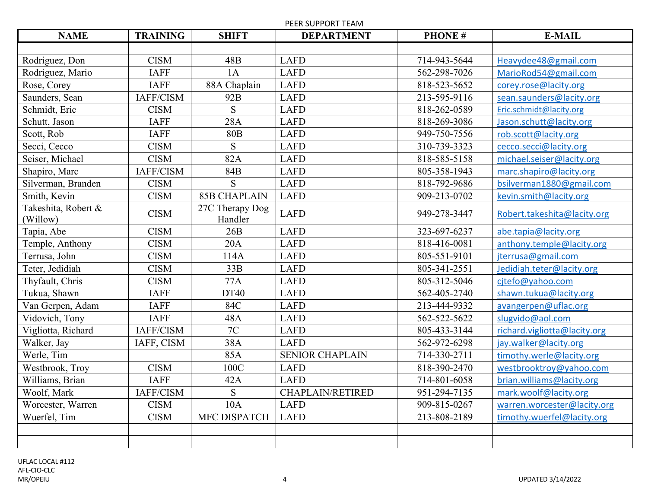PEER SUPPORT TEAM

| <b>NAME</b>                     | <b>TRAINING</b> | <b>SHIFT</b>               | <b>DEPARTMENT</b>       | <b>PHONE#</b> | <b>E-MAIL</b>                |
|---------------------------------|-----------------|----------------------------|-------------------------|---------------|------------------------------|
|                                 |                 |                            |                         |               |                              |
| Rodriguez, Don                  | <b>CISM</b>     | 48B                        | <b>LAFD</b>             | 714-943-5644  | Heavydee48@gmail.com         |
| Rodriguez, Mario                | <b>IAFF</b>     | 1A                         | <b>LAFD</b>             | 562-298-7026  | MarioRod54@gmail.com         |
| Rose, Corey                     | <b>IAFF</b>     | 88A Chaplain               | <b>LAFD</b>             | 818-523-5652  | corey.rose@lacity.org        |
| Saunders, Sean                  | IAFF/CISM       | 92B                        | <b>LAFD</b>             | 213-595-9116  | sean.saunders@lacity.org     |
| Schmidt, Eric                   | <b>CISM</b>     | S                          | <b>LAFD</b>             | 818-262-0589  | Eric.schmidt@lacity.org      |
| Schutt, Jason                   | <b>IAFF</b>     | 28A                        | <b>LAFD</b>             | 818-269-3086  | Jason.schutt@lacity.org      |
| Scott, Rob                      | <b>IAFF</b>     | <b>80B</b>                 | <b>LAFD</b>             | 949-750-7556  | rob.scott@lacity.org         |
| Secci, Cecco                    | <b>CISM</b>     | S                          | <b>LAFD</b>             | 310-739-3323  | cecco.secci@lacity.org       |
| Seiser, Michael                 | <b>CISM</b>     | 82A                        | <b>LAFD</b>             | 818-585-5158  | michael.seiser@lacity.org    |
| Shapiro, Marc                   | IAFF/CISM       | 84B                        | <b>LAFD</b>             | 805-358-1943  | marc.shapiro@lacity.org      |
| Silverman, Branden              | <b>CISM</b>     | S                          | <b>LAFD</b>             | 818-792-9686  | bsilverman1880@gmail.com     |
| Smith, Kevin                    | <b>CISM</b>     | <b>85B CHAPLAIN</b>        | <b>LAFD</b>             | 909-213-0702  | kevin.smith@lacity.org       |
| Takeshita, Robert &<br>(Willow) | <b>CISM</b>     | 27C Therapy Dog<br>Handler | <b>LAFD</b>             | 949-278-3447  | Robert.takeshita@lacity.org  |
| Tapia, Abe                      | <b>CISM</b>     | 26B                        | <b>LAFD</b>             | 323-697-6237  | abe.tapia@lacity.org         |
| Temple, Anthony                 | <b>CISM</b>     | 20A                        | <b>LAFD</b>             | 818-416-0081  | anthony.temple@lacity.org    |
| Terrusa, John                   | <b>CISM</b>     | 114A                       | <b>LAFD</b>             | 805-551-9101  | jterrusa@gmail.com           |
| Teter, Jedidiah                 | <b>CISM</b>     | 33B                        | <b>LAFD</b>             | 805-341-2551  | Jedidiah.teter@lacity.org    |
| Thyfault, Chris                 | <b>CISM</b>     | 77A                        | <b>LAFD</b>             | 805-312-5046  | cjtefo@yahoo.com             |
| Tukua, Shawn                    | <b>IAFF</b>     | DT40                       | <b>LAFD</b>             | 562-405-2740  | shawn.tukua@lacity.org       |
| Van Gerpen, Adam                | <b>IAFF</b>     | 84C                        | <b>LAFD</b>             | 213-444-9332  | avangerpen@uflac.org         |
| Vidovich, Tony                  | <b>IAFF</b>     | 48A                        | <b>LAFD</b>             | 562-522-5622  | slugvido@aol.com             |
| Vigliotta, Richard              | IAFF/CISM       | 7C                         | <b>LAFD</b>             | 805-433-3144  | richard.vigliotta@lacity.org |
| Walker, Jay                     | IAFF, CISM      | 38A                        | <b>LAFD</b>             | 562-972-6298  | jay.walker@lacity.org        |
| Werle, Tim                      |                 | 85A                        | <b>SENIOR CHAPLAIN</b>  | 714-330-2711  | timothy.werle@lacity.org     |
| Westbrook, Troy                 | <b>CISM</b>     | 100C                       | <b>LAFD</b>             | 818-390-2470  | westbrooktroy@yahoo.com      |
| Williams, Brian                 | <b>IAFF</b>     | 42A                        | <b>LAFD</b>             | 714-801-6058  | brian.williams@lacity.org    |
| Woolf, Mark                     | IAFF/CISM       | S                          | <b>CHAPLAIN/RETIRED</b> | 951-294-7135  | mark.woolf@lacity.org        |
| Worcester, Warren               | <b>CISM</b>     | 10A                        | <b>LAFD</b>             | 909-815-0267  | warren.worcester@lacity.org  |
| Wuerfel, Tim                    | <b>CISM</b>     | MFC DISPATCH               | <b>LAFD</b>             | 213-808-2189  | timothy.wuerfel@lacity.org   |
|                                 |                 |                            |                         |               |                              |
|                                 |                 |                            |                         |               |                              |